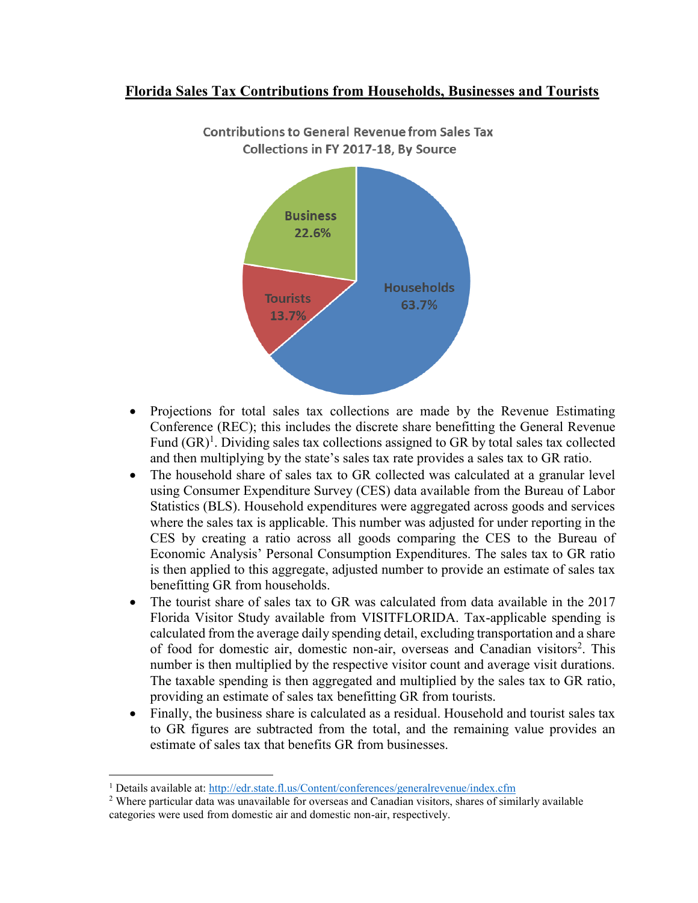## **Florida Sales Tax Contributions from Households, Businesses and Tourists**



**Contributions to General Revenue from Sales Tax** Collections in FY 2017-18, By Source

- Projections for total sales tax collections are made by the Revenue Estimating Conference (REC); this includes the discrete share benefitting the General Revenue Fund  $(GR)^1$ . Dividing sales tax collections assigned to GR by total sales tax collected and then multiplying by the state's sales tax rate provides a sales tax to GR ratio.
- The household share of sales tax to GR collected was calculated at a granular level using Consumer Expenditure Survey (CES) data available from the Bureau of Labor Statistics (BLS). Household expenditures were aggregated across goods and services where the sales tax is applicable. This number was adjusted for under reporting in the CES by creating a ratio across all goods comparing the CES to the Bureau of Economic Analysis' Personal Consumption Expenditures. The sales tax to GR ratio is then applied to this aggregate, adjusted number to provide an estimate of sales tax benefitting GR from households.
- The tourist share of sales tax to GR was calculated from data available in the 2017 Florida Visitor Study available from VISITFLORIDA. Tax-applicable spending is calculated from the average daily spending detail, excluding transportation and a share of food for domestic air, domestic non-air, overseas and Canadian visitors<sup>2</sup>. This number is then multiplied by the respective visitor count and average visit durations. The taxable spending is then aggregated and multiplied by the sales tax to GR ratio, providing an estimate of sales tax benefitting GR from tourists.
- Finally, the business share is calculated as a residual. Household and tourist sales tax to GR figures are subtracted from the total, and the remaining value provides an estimate of sales tax that benefits GR from businesses.

 $\overline{a}$ 

<sup>1</sup> Details available at:<http://edr.state.fl.us/Content/conferences/generalrevenue/index.cfm>

<sup>&</sup>lt;sup>2</sup> Where particular data was unavailable for overseas and Canadian visitors, shares of similarly available categories were used from domestic air and domestic non-air, respectively.